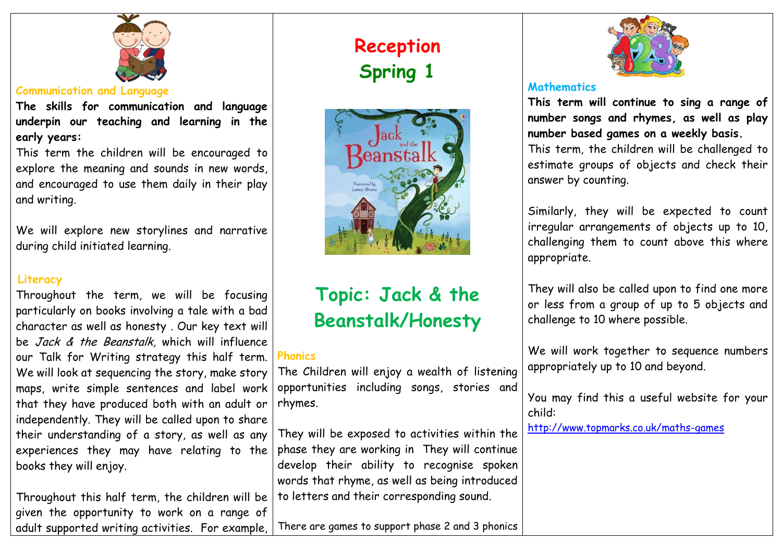

#### **Communication and Language**

**The skills for communication and language underpin our teaching and learning in the early years:**

This term the children will be encouraged to explore the meaning and sounds in new words, and encouraged to use them daily in their play and writing.

We will explore new storylines and narrative during child initiated learning.

# **Literacy**

Throughout the term, we will be focusing particularly on books involving a tale with a bad character as well as honesty . Our key text will be Jack & the Beanstalk, which will influence our Talk for Writing strategy this half term. We will look at sequencing the story, make story maps, write simple sentences and label work that they have produced both with an adult or independently. They will be called upon to share their understanding of a story, as well as any experiences they may have relating to the books they will enjoy.

Throughout this half term, the children will be given the opportunity to work on a range of adult supported writing activities. For example,

# **Reception Spring 1**



# **Topic: Jack & the Beanstalk/Honesty**

# **Phonics**

The Children will enjoy a wealth of listening opportunities including songs, stories and rhymes.

They will be exposed to activities within the phase they are working in They will continue develop their ability to recognise spoken words that rhyme, as well as being introduced to letters and their corresponding sound.

There are games to support phase 2 and 3 phonics



## **Mathematics**

**This term will continue to sing a range of number songs and rhymes, as well as play number based games on a weekly basis.** This term, the children will be challenged to estimate groups of objects and check their answer by counting.

Similarly, they will be expected to count irregular arrangements of objects up to 10, challenging them to count above this where appropriate.

They will also be called upon to find one more or less from a group of up to 5 objects and challenge to 10 where possible.

We will work together to sequence numbers appropriately up to 10 and beyond.

You may find this a useful website for your child:

<http://www.topmarks.co.uk/maths-games>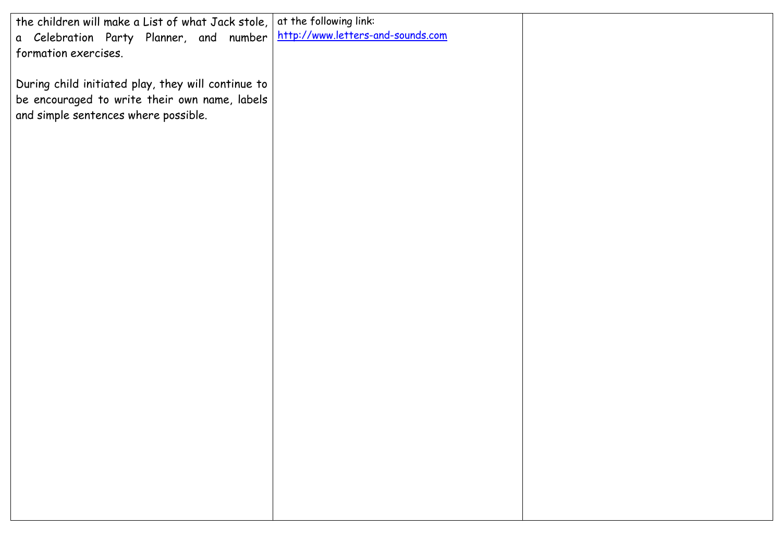| the children will make a List of what Jack stole,  | at the following link:            |  |
|----------------------------------------------------|-----------------------------------|--|
| a Celebration Party Planner, and number            | http://www.letters-and-sounds.com |  |
| formation exercises.                               |                                   |  |
|                                                    |                                   |  |
|                                                    |                                   |  |
| During child initiated play, they will continue to |                                   |  |
| be encouraged to write their own name, labels      |                                   |  |
|                                                    |                                   |  |
| and simple sentences where possible.               |                                   |  |
|                                                    |                                   |  |
|                                                    |                                   |  |
|                                                    |                                   |  |
|                                                    |                                   |  |
|                                                    |                                   |  |
|                                                    |                                   |  |
|                                                    |                                   |  |
|                                                    |                                   |  |
|                                                    |                                   |  |
|                                                    |                                   |  |
|                                                    |                                   |  |
|                                                    |                                   |  |
|                                                    |                                   |  |
|                                                    |                                   |  |
|                                                    |                                   |  |
|                                                    |                                   |  |
|                                                    |                                   |  |
|                                                    |                                   |  |
|                                                    |                                   |  |
|                                                    |                                   |  |
|                                                    |                                   |  |
|                                                    |                                   |  |
|                                                    |                                   |  |
|                                                    |                                   |  |
|                                                    |                                   |  |
|                                                    |                                   |  |
|                                                    |                                   |  |
|                                                    |                                   |  |
|                                                    |                                   |  |
|                                                    |                                   |  |
|                                                    |                                   |  |
|                                                    |                                   |  |
|                                                    |                                   |  |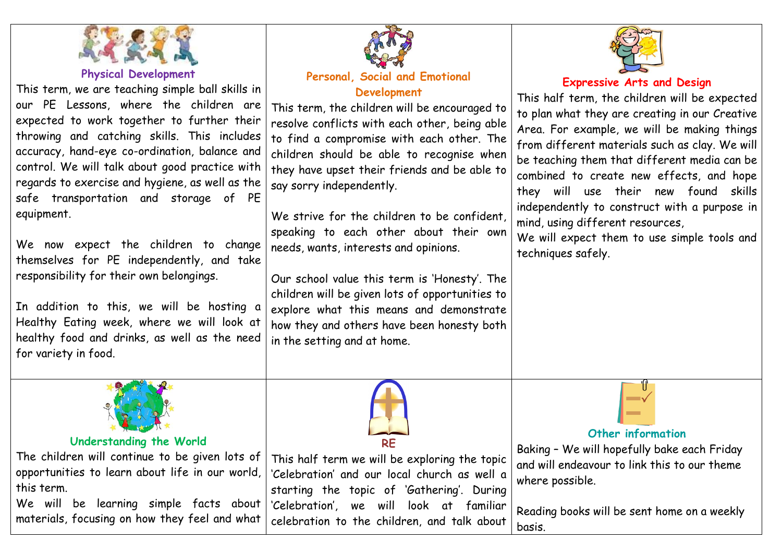

**Physical Development**

This term, we are teaching simple ball skills in our PE Lessons, where the children are expected to work together to further their throwing and catching skills. This includes accuracy, hand-eye co-ordination, balance and control. We will talk about good practice with regards to exercise and hygiene, as well as the safe transportation and storage of PE equipment.

We now expect the children to change themselves for PE independently, and take responsibility for their own belongings.

In addition to this, we will be hosting a Healthy Eating week, where we will look at healthy food and drinks, as well as the need for variety in food.



#### **Understanding the World**

The children will continue to be given lots of opportunities to learn about life in our world, this term.

We will be learning simple facts about materials, focusing on how they feel and what



#### **Personal, Social and Emotional Development**

This term, the children will be encouraged to resolve conflicts with each other, being able to find a compromise with each other. The children should be able to recognise when they have upset their friends and be able to say sorry independently.

We strive for the children to be confident, speaking to each other about their own needs, wants, interests and opinions.

Our school value this term is 'Honesty'. The children will be given lots of opportunities to explore what this means and demonstrate how they and others have been honesty both in the setting and at home.



## **Expressive Arts and Design**

This half term, the children will be expected to plan what they are creating in our Creative Area. For example, we will be making things from different materials such as clay. We will be teaching them that different media can be combined to create new effects, and hope they will use their new found skills independently to construct with a purpose in mind, using different resources,

We will expect them to use simple tools and techniques safely.



This half term we will be exploring the topic 'Celebration' and our local church as well a starting the topic of 'Gathering'. During 'Celebration', we will look at familiar celebration to the children, and talk about

#### **Other information**

Baking – We will hopefully bake each Friday and will endeavour to link this to our theme where possible.

Reading books will be sent home on a weekly basis.